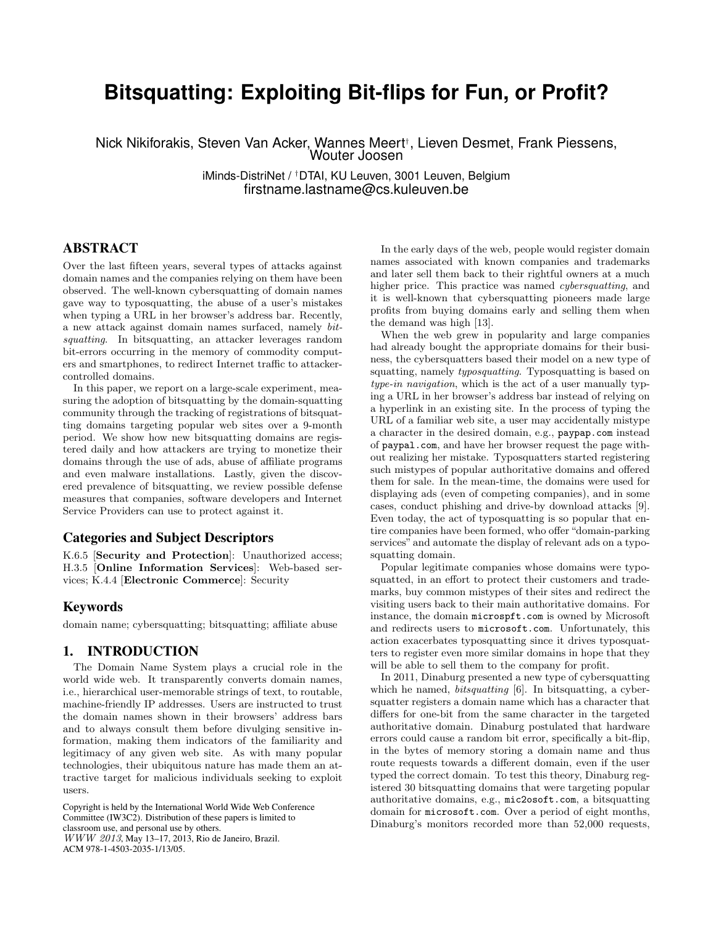# **Bitsquatting: Exploiting Bit-flips for Fun, or Profit?**

Nick Nikiforakis, Steven Van Acker, Wannes Meert† , Lieven Desmet, Frank Piessens, Wouter Joosen

> iMinds-DistriNet / †DTAI, KU Leuven, 3001 Leuven, Belgium firstname.lastname@cs.kuleuven.be

# ABSTRACT

Over the last fifteen years, several types of attacks against domain names and the companies relying on them have been observed. The well-known cybersquatting of domain names gave way to typosquatting, the abuse of a user's mistakes when typing a URL in her browser's address bar. Recently, a new attack against domain names surfaced, namely bitsquatting. In bitsquatting, an attacker leverages random bit-errors occurring in the memory of commodity computers and smartphones, to redirect Internet traffic to attackercontrolled domains.

In this paper, we report on a large-scale experiment, measuring the adoption of bitsquatting by the domain-squatting community through the tracking of registrations of bitsquatting domains targeting popular web sites over a 9-month period. We show how new bitsquatting domains are registered daily and how attackers are trying to monetize their domains through the use of ads, abuse of affiliate programs and even malware installations. Lastly, given the discovered prevalence of bitsquatting, we review possible defense measures that companies, software developers and Internet Service Providers can use to protect against it.

# Categories and Subject Descriptors

K.6.5 [Security and Protection]: Unauthorized access; H.3.5 [Online Information Services]: Web-based services; K.4.4 [Electronic Commerce]: Security

# Keywords

domain name; cybersquatting; bitsquatting; affiliate abuse

# 1. INTRODUCTION

The Domain Name System plays a crucial role in the world wide web. It transparently converts domain names, i.e., hierarchical user-memorable strings of text, to routable, machine-friendly IP addresses. Users are instructed to trust the domain names shown in their browsers' address bars and to always consult them before divulging sensitive information, making them indicators of the familiarity and legitimacy of any given web site. As with many popular technologies, their ubiquitous nature has made them an attractive target for malicious individuals seeking to exploit users.

Copyright is held by the International World Wide Web Conference Committee (IW3C2). Distribution of these papers is limited to classroom use, and personal use by others. WWW 2013, May 13–17, 2013, Rio de Janeiro, Brazil. ACM 978-1-4503-2035-1/13/05.

In the early days of the web, people would register domain names associated with known companies and trademarks and later sell them back to their rightful owners at a much higher price. This practice was named *cybersquatting*, and it is well-known that cybersquatting pioneers made large profits from buying domains early and selling them when the demand was high [13].

When the web grew in popularity and large companies had already bought the appropriate domains for their business, the cybersquatters based their model on a new type of squatting, namely typosquatting. Typosquatting is based on type-in navigation, which is the act of a user manually typing a URL in her browser's address bar instead of relying on a hyperlink in an existing site. In the process of typing the URL of a familiar web site, a user may accidentally mistype a character in the desired domain, e.g., paypap.com instead of paypal.com, and have her browser request the page without realizing her mistake. Typosquatters started registering such mistypes of popular authoritative domains and offered them for sale. In the mean-time, the domains were used for displaying ads (even of competing companies), and in some cases, conduct phishing and drive-by download attacks [9]. Even today, the act of typosquatting is so popular that entire companies have been formed, who offer "domain-parking services" and automate the display of relevant ads on a typosquatting domain.

Popular legitimate companies whose domains were typosquatted, in an effort to protect their customers and trademarks, buy common mistypes of their sites and redirect the visiting users back to their main authoritative domains. For instance, the domain microspft.com is owned by Microsoft and redirects users to microsoft.com. Unfortunately, this action exacerbates typosquatting since it drives typosquatters to register even more similar domains in hope that they will be able to sell them to the company for profit.

In 2011, Dinaburg presented a new type of cybersquatting which he named, *bitsquatting* [6]. In bitsquatting, a cybersquatter registers a domain name which has a character that differs for one-bit from the same character in the targeted authoritative domain. Dinaburg postulated that hardware errors could cause a random bit error, specifically a bit-flip, in the bytes of memory storing a domain name and thus route requests towards a different domain, even if the user typed the correct domain. To test this theory, Dinaburg registered 30 bitsquatting domains that were targeting popular authoritative domains, e.g., mic2osoft.com, a bitsquatting domain for microsoft.com. Over a period of eight months, Dinaburg's monitors recorded more than 52,000 requests,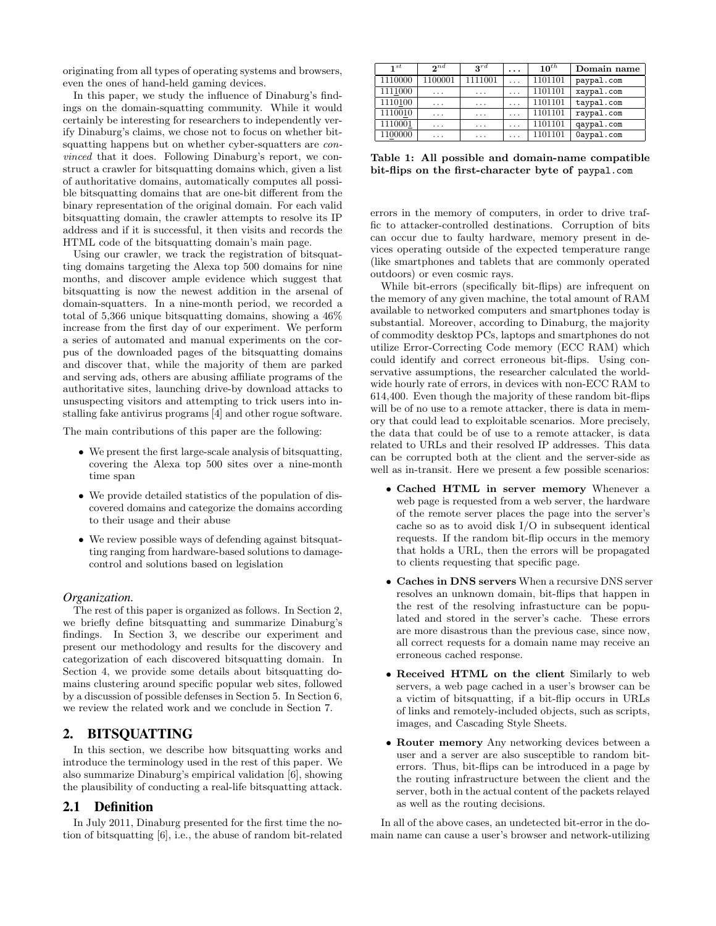originating from all types of operating systems and browsers, even the ones of hand-held gaming devices.

In this paper, we study the influence of Dinaburg's findings on the domain-squatting community. While it would certainly be interesting for researchers to independently verify Dinaburg's claims, we chose not to focus on whether bitsquatting happens but on whether cyber-squatters are *con*vinced that it does. Following Dinaburg's report, we construct a crawler for bitsquatting domains which, given a list of authoritative domains, automatically computes all possible bitsquatting domains that are one-bit different from the binary representation of the original domain. For each valid bitsquatting domain, the crawler attempts to resolve its IP address and if it is successful, it then visits and records the HTML code of the bitsquatting domain's main page.

Using our crawler, we track the registration of bitsquatting domains targeting the Alexa top 500 domains for nine months, and discover ample evidence which suggest that bitsquatting is now the newest addition in the arsenal of domain-squatters. In a nine-month period, we recorded a total of 5,366 unique bitsquatting domains, showing a 46% increase from the first day of our experiment. We perform a series of automated and manual experiments on the corpus of the downloaded pages of the bitsquatting domains and discover that, while the majority of them are parked and serving ads, others are abusing affiliate programs of the authoritative sites, launching drive-by download attacks to unsuspecting visitors and attempting to trick users into installing fake antivirus programs [4] and other rogue software.

The main contributions of this paper are the following:

- We present the first large-scale analysis of bitsquatting, covering the Alexa top 500 sites over a nine-month time span
- We provide detailed statistics of the population of discovered domains and categorize the domains according to their usage and their abuse
- We review possible ways of defending against bitsquatting ranging from hardware-based solutions to damagecontrol and solutions based on legislation

#### *Organization.*

The rest of this paper is organized as follows. In Section 2, we briefly define bitsquatting and summarize Dinaburg's findings. In Section 3, we describe our experiment and present our methodology and results for the discovery and categorization of each discovered bitsquatting domain. In Section 4, we provide some details about bitsquatting domains clustering around specific popular web sites, followed by a discussion of possible defenses in Section 5. In Section 6, we review the related work and we conclude in Section 7.

# 2. BITSQUATTING

In this section, we describe how bitsquatting works and introduce the terminology used in the rest of this paper. We also summarize Dinaburg's empirical validation [6], showing the plausibility of conducting a real-life bitsquatting attack.

# 2.1 Definition

In July 2011, Dinaburg presented for the first time the notion of bitsquatting [6], i.e., the abuse of random bit-related

| $\mathbf{1}^{st}$ | $2^{nd}$ | $2^{rd}$ | . | $10^{th}$ | Domain name |
|-------------------|----------|----------|---|-----------|-------------|
| 1110000           | 1100001  | 1111001  | . | 1101101   | paypal.com  |
| 1111000           | .        | $\cdots$ | . | 1101101   | xaypal.com  |
| 1110100           | .        | .        | . | 1101101   | taypal.com  |
| 1110010           | .        | .        | . | 1101101   | raypal.com  |
| 1110001           | .        | .        | . | 1101101   | qaypal.com  |
| 1100000           | .        | .        | . | 1101101   | Oaypal.com  |

Table 1: All possible and domain-name compatible bit-flips on the first-character byte of paypal.com

errors in the memory of computers, in order to drive traffic to attacker-controlled destinations. Corruption of bits can occur due to faulty hardware, memory present in devices operating outside of the expected temperature range (like smartphones and tablets that are commonly operated outdoors) or even cosmic rays.

While bit-errors (specifically bit-flips) are infrequent on the memory of any given machine, the total amount of RAM available to networked computers and smartphones today is substantial. Moreover, according to Dinaburg, the majority of commodity desktop PCs, laptops and smartphones do not utilize Error-Correcting Code memory (ECC RAM) which could identify and correct erroneous bit-flips. Using conservative assumptions, the researcher calculated the worldwide hourly rate of errors, in devices with non-ECC RAM to 614,400. Even though the majority of these random bit-flips will be of no use to a remote attacker, there is data in memory that could lead to exploitable scenarios. More precisely, the data that could be of use to a remote attacker, is data related to URLs and their resolved IP addresses. This data can be corrupted both at the client and the server-side as well as in-transit. Here we present a few possible scenarios:

- Cached HTML in server memory Whenever a web page is requested from a web server, the hardware of the remote server places the page into the server's cache so as to avoid disk I/O in subsequent identical requests. If the random bit-flip occurs in the memory that holds a URL, then the errors will be propagated to clients requesting that specific page.
- Caches in DNS servers When a recursive DNS server resolves an unknown domain, bit-flips that happen in the rest of the resolving infrastucture can be populated and stored in the server's cache. These errors are more disastrous than the previous case, since now, all correct requests for a domain name may receive an erroneous cached response.
- Received HTML on the client Similarly to web servers, a web page cached in a user's browser can be a victim of bitsquatting, if a bit-flip occurs in URLs of links and remotely-included objects, such as scripts, images, and Cascading Style Sheets.
- Router memory Any networking devices between a user and a server are also susceptible to random biterrors. Thus, bit-flips can be introduced in a page by the routing infrastructure between the client and the server, both in the actual content of the packets relayed as well as the routing decisions.

In all of the above cases, an undetected bit-error in the domain name can cause a user's browser and network-utilizing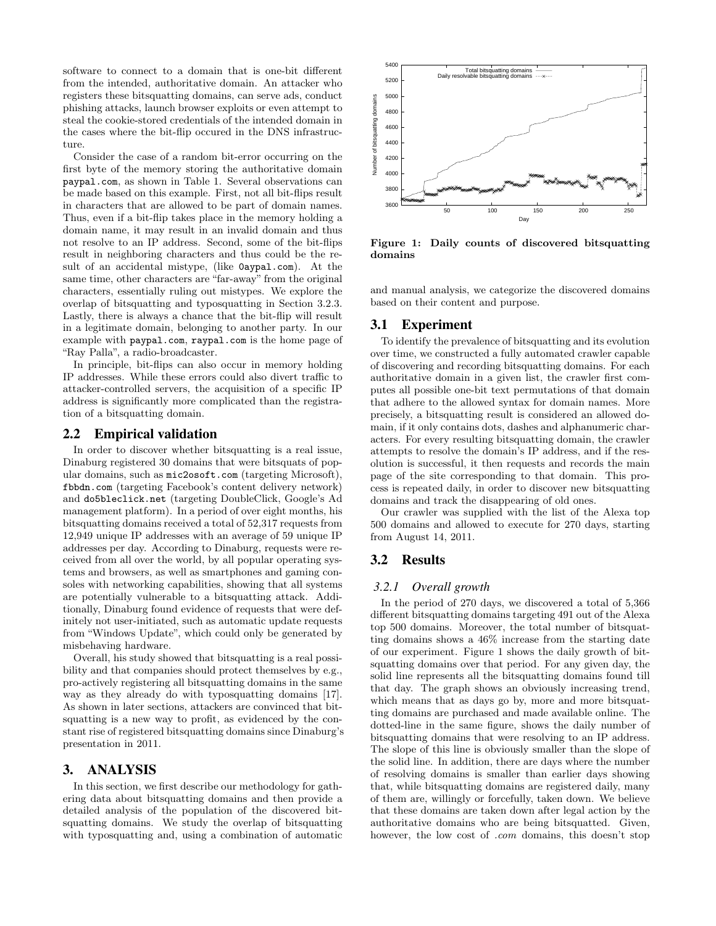software to connect to a domain that is one-bit different from the intended, authoritative domain. An attacker who registers these bitsquatting domains, can serve ads, conduct phishing attacks, launch browser exploits or even attempt to steal the cookie-stored credentials of the intended domain in the cases where the bit-flip occured in the DNS infrastructure.

Consider the case of a random bit-error occurring on the first byte of the memory storing the authoritative domain paypal.com, as shown in Table 1. Several observations can be made based on this example. First, not all bit-flips result in characters that are allowed to be part of domain names. Thus, even if a bit-flip takes place in the memory holding a domain name, it may result in an invalid domain and thus not resolve to an IP address. Second, some of the bit-flips result in neighboring characters and thus could be the result of an accidental mistype, (like 0aypal.com). At the same time, other characters are "far-away" from the original characters, essentially ruling out mistypes. We explore the overlap of bitsquatting and typosquatting in Section 3.2.3. Lastly, there is always a chance that the bit-flip will result in a legitimate domain, belonging to another party. In our example with paypal.com, raypal.com is the home page of "Ray Palla", a radio-broadcaster.

In principle, bit-flips can also occur in memory holding IP addresses. While these errors could also divert traffic to attacker-controlled servers, the acquisition of a specific IP address is significantly more complicated than the registration of a bitsquatting domain.

# 2.2 Empirical validation

In order to discover whether bitsquatting is a real issue, Dinaburg registered 30 domains that were bitsquats of popular domains, such as mic2osoft.com (targeting Microsoft), fbbdn.com (targeting Facebook's content delivery network) and do5bleclick.net (targeting DoubleClick, Google's Ad management platform). In a period of over eight months, his bitsquatting domains received a total of 52,317 requests from 12,949 unique IP addresses with an average of 59 unique IP addresses per day. According to Dinaburg, requests were received from all over the world, by all popular operating systems and browsers, as well as smartphones and gaming consoles with networking capabilities, showing that all systems are potentially vulnerable to a bitsquatting attack. Additionally, Dinaburg found evidence of requests that were definitely not user-initiated, such as automatic update requests from "Windows Update", which could only be generated by misbehaving hardware.

Overall, his study showed that bitsquatting is a real possibility and that companies should protect themselves by e.g., pro-actively registering all bitsquatting domains in the same way as they already do with typosquatting domains [17]. As shown in later sections, attackers are convinced that bitsquatting is a new way to profit, as evidenced by the constant rise of registered bitsquatting domains since Dinaburg's presentation in 2011.

# 3. ANALYSIS

In this section, we first describe our methodology for gathering data about bitsquatting domains and then provide a detailed analysis of the population of the discovered bitsquatting domains. We study the overlap of bitsquatting with typosquatting and, using a combination of automatic



Figure 1: Daily counts of discovered bitsquatting domains

and manual analysis, we categorize the discovered domains based on their content and purpose.

# 3.1 Experiment

To identify the prevalence of bitsquatting and its evolution over time, we constructed a fully automated crawler capable of discovering and recording bitsquatting domains. For each authoritative domain in a given list, the crawler first computes all possible one-bit text permutations of that domain that adhere to the allowed syntax for domain names. More precisely, a bitsquatting result is considered an allowed domain, if it only contains dots, dashes and alphanumeric characters. For every resulting bitsquatting domain, the crawler attempts to resolve the domain's IP address, and if the resolution is successful, it then requests and records the main page of the site corresponding to that domain. This process is repeated daily, in order to discover new bitsquatting domains and track the disappearing of old ones.

Our crawler was supplied with the list of the Alexa top 500 domains and allowed to execute for 270 days, starting from August 14, 2011.

# 3.2 Results

#### *3.2.1 Overall growth*

In the period of 270 days, we discovered a total of 5,366 different bitsquatting domains targeting 491 out of the Alexa top 500 domains. Moreover, the total number of bitsquatting domains shows a 46% increase from the starting date of our experiment. Figure 1 shows the daily growth of bitsquatting domains over that period. For any given day, the solid line represents all the bitsquatting domains found till that day. The graph shows an obviously increasing trend, which means that as days go by, more and more bitsquatting domains are purchased and made available online. The dotted-line in the same figure, shows the daily number of bitsquatting domains that were resolving to an IP address. The slope of this line is obviously smaller than the slope of the solid line. In addition, there are days where the number of resolving domains is smaller than earlier days showing that, while bitsquatting domains are registered daily, many of them are, willingly or forcefully, taken down. We believe that these domains are taken down after legal action by the authoritative domains who are being bitsquatted. Given, however, the low cost of *com* domains, this doesn't stop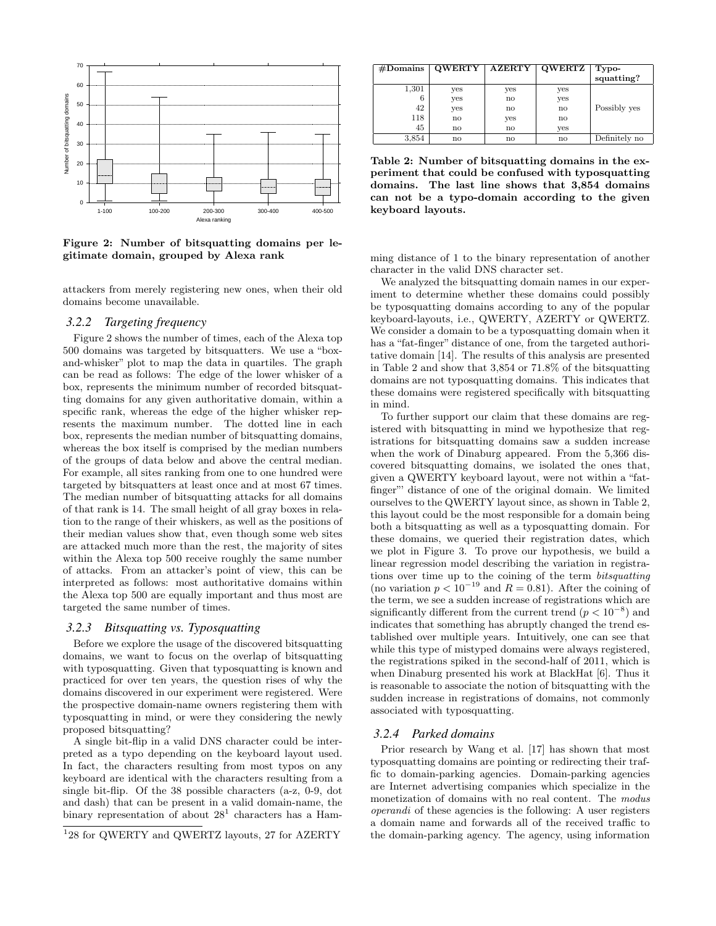

Figure 2: Number of bitsquatting domains per legitimate domain, grouped by Alexa rank

attackers from merely registering new ones, when their old domains become unavailable.

## *3.2.2 Targeting frequency*

Figure 2 shows the number of times, each of the Alexa top 500 domains was targeted by bitsquatters. We use a "boxand-whisker" plot to map the data in quartiles. The graph can be read as follows: The edge of the lower whisker of a box, represents the minimum number of recorded bitsquatting domains for any given authoritative domain, within a specific rank, whereas the edge of the higher whisker represents the maximum number. The dotted line in each box, represents the median number of bitsquatting domains, whereas the box itself is comprised by the median numbers of the groups of data below and above the central median. For example, all sites ranking from one to one hundred were targeted by bitsquatters at least once and at most 67 times. The median number of bitsquatting attacks for all domains of that rank is 14. The small height of all gray boxes in relation to the range of their whiskers, as well as the positions of their median values show that, even though some web sites are attacked much more than the rest, the majority of sites within the Alexa top 500 receive roughly the same number of attacks. From an attacker's point of view, this can be interpreted as follows: most authoritative domains within the Alexa top 500 are equally important and thus most are targeted the same number of times.

## *3.2.3 Bitsquatting vs. Typosquatting*

Before we explore the usage of the discovered bitsquatting domains, we want to focus on the overlap of bitsquatting with typosquatting. Given that typosquatting is known and practiced for over ten years, the question rises of why the domains discovered in our experiment were registered. Were the prospective domain-name owners registering them with typosquatting in mind, or were they considering the newly proposed bitsquatting?

A single bit-flip in a valid DNS character could be interpreted as a typo depending on the keyboard layout used. In fact, the characters resulting from most typos on any keyboard are identical with the characters resulting from a single bit-flip. Of the 38 possible characters (a-z, 0-9, dot and dash) that can be present in a valid domain-name, the binary representation of about  $28<sup>1</sup>$  characters has a Ham-

| $#$ Domains | <b>QWERTY</b> | <b>AZERTY</b>          | <b>QWERTZ</b> | Typo-<br>squatting? |
|-------------|---------------|------------------------|---------------|---------------------|
| 1,301       | yes           | yes                    | yes           |                     |
| 6           | yes           | no                     | yes           |                     |
| 42          | yes           | $\mathbf{n}\mathbf{o}$ | no            | Possibly yes        |
| 118         | no            | yes                    | $\mathbf{n}$  |                     |
| 45          | no            | $\mathbf{no}$          | ves           |                     |
| 3,854       | no            | $\mathbf{n}\mathbf{o}$ | $\mathbf{n}$  | Definitely no       |

Table 2: Number of bitsquatting domains in the experiment that could be confused with typosquatting domains. The last line shows that 3,854 domains can not be a typo-domain according to the given keyboard layouts.

ming distance of 1 to the binary representation of another character in the valid DNS character set.

We analyzed the bitsquatting domain names in our experiment to determine whether these domains could possibly be typosquatting domains according to any of the popular keyboard-layouts, i.e., QWERTY, AZERTY or QWERTZ. We consider a domain to be a typosquatting domain when it has a "fat-finger" distance of one, from the targeted authoritative domain [14]. The results of this analysis are presented in Table 2 and show that 3,854 or 71.8% of the bitsquatting domains are not typosquatting domains. This indicates that these domains were registered specifically with bitsquatting in mind.

To further support our claim that these domains are registered with bitsquatting in mind we hypothesize that registrations for bitsquatting domains saw a sudden increase when the work of Dinaburg appeared. From the 5,366 discovered bitsquatting domains, we isolated the ones that, given a QWERTY keyboard layout, were not within a "fatfinger"' distance of one of the original domain. We limited ourselves to the QWERTY layout since, as shown in Table 2, this layout could be the most responsible for a domain being both a bitsquatting as well as a typosquatting domain. For these domains, we queried their registration dates, which we plot in Figure 3. To prove our hypothesis, we build a linear regression model describing the variation in registrations over time up to the coining of the term bitsquatting (no variation  $p < 10^{-19}$  and  $R = 0.81$ ). After the coining of the term, we see a sudden increase of registrations which are significantly different from the current trend  $(p < 10^{-8})$  and indicates that something has abruptly changed the trend established over multiple years. Intuitively, one can see that while this type of mistyped domains were always registered, the registrations spiked in the second-half of 2011, which is when Dinaburg presented his work at BlackHat [6]. Thus it is reasonable to associate the notion of bitsquatting with the sudden increase in registrations of domains, not commonly associated with typosquatting.

#### *3.2.4 Parked domains*

Prior research by Wang et al. [17] has shown that most typosquatting domains are pointing or redirecting their traffic to domain-parking agencies. Domain-parking agencies are Internet advertising companies which specialize in the monetization of domains with no real content. The modus operandi of these agencies is the following: A user registers a domain name and forwards all of the received traffic to the domain-parking agency. The agency, using information

<sup>1</sup> 28 for QWERTY and QWERTZ layouts, 27 for AZERTY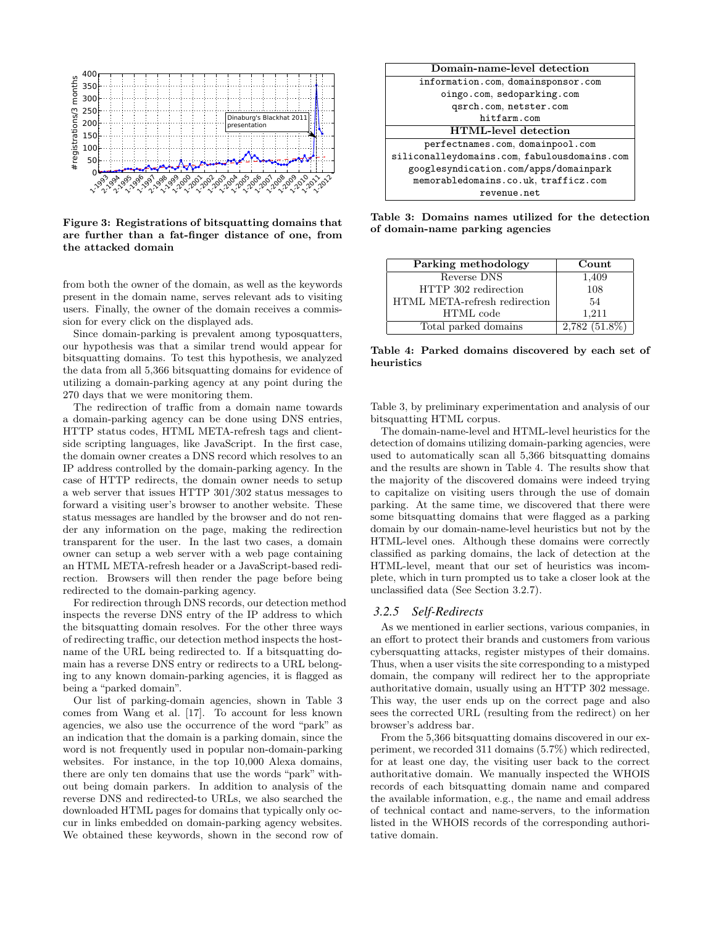

Figure 3: Registrations of bitsquatting domains that are further than a fat-finger distance of one, from the attacked domain

from both the owner of the domain, as well as the keywords present in the domain name, serves relevant ads to visiting users. Finally, the owner of the domain receives a commission for every click on the displayed ads.

Since domain-parking is prevalent among typosquatters, our hypothesis was that a similar trend would appear for bitsquatting domains. To test this hypothesis, we analyzed the data from all 5,366 bitsquatting domains for evidence of utilizing a domain-parking agency at any point during the 270 days that we were monitoring them.

The redirection of traffic from a domain name towards a domain-parking agency can be done using DNS entries, HTTP status codes, HTML META-refresh tags and clientside scripting languages, like JavaScript. In the first case, the domain owner creates a DNS record which resolves to an IP address controlled by the domain-parking agency. In the case of HTTP redirects, the domain owner needs to setup a web server that issues HTTP 301/302 status messages to forward a visiting user's browser to another website. These status messages are handled by the browser and do not render any information on the page, making the redirection transparent for the user. In the last two cases, a domain owner can setup a web server with a web page containing an HTML META-refresh header or a JavaScript-based redirection. Browsers will then render the page before being redirected to the domain-parking agency.

For redirection through DNS records, our detection method inspects the reverse DNS entry of the IP address to which the bitsquatting domain resolves. For the other three ways of redirecting traffic, our detection method inspects the hostname of the URL being redirected to. If a bitsquatting domain has a reverse DNS entry or redirects to a URL belonging to any known domain-parking agencies, it is flagged as being a "parked domain".

Our list of parking-domain agencies, shown in Table 3 comes from Wang et al. [17]. To account for less known agencies, we also use the occurrence of the word "park" as an indication that the domain is a parking domain, since the word is not frequently used in popular non-domain-parking websites. For instance, in the top 10,000 Alexa domains, there are only ten domains that use the words "park" without being domain parkers. In addition to analysis of the reverse DNS and redirected-to URLs, we also searched the downloaded HTML pages for domains that typically only occur in links embedded on domain-parking agency websites. We obtained these keywords, shown in the second row of



Table 3: Domains names utilized for the detection of domain-name parking agencies

| Parking methodology           | Count           |
|-------------------------------|-----------------|
| Reverse DNS                   | 1,409           |
| HTTP 302 redirection          | 108             |
| HTML META-refresh redirection | 54              |
| HTML code                     | 1.211           |
| Total parked domains          | $2,782(51.8\%)$ |

Table 4: Parked domains discovered by each set of heuristics

Table 3, by preliminary experimentation and analysis of our bitsquatting HTML corpus.

The domain-name-level and HTML-level heuristics for the detection of domains utilizing domain-parking agencies, were used to automatically scan all 5,366 bitsquatting domains and the results are shown in Table 4. The results show that the majority of the discovered domains were indeed trying to capitalize on visiting users through the use of domain parking. At the same time, we discovered that there were some bitsquatting domains that were flagged as a parking domain by our domain-name-level heuristics but not by the HTML-level ones. Although these domains were correctly classified as parking domains, the lack of detection at the HTML-level, meant that our set of heuristics was incomplete, which in turn prompted us to take a closer look at the unclassified data (See Section 3.2.7).

## *3.2.5 Self-Redirects*

As we mentioned in earlier sections, various companies, in an effort to protect their brands and customers from various cybersquatting attacks, register mistypes of their domains. Thus, when a user visits the site corresponding to a mistyped domain, the company will redirect her to the appropriate authoritative domain, usually using an HTTP 302 message. This way, the user ends up on the correct page and also sees the corrected URL (resulting from the redirect) on her browser's address bar.

From the 5,366 bitsquatting domains discovered in our experiment, we recorded 311 domains (5.7%) which redirected, for at least one day, the visiting user back to the correct authoritative domain. We manually inspected the WHOIS records of each bitsquatting domain name and compared the available information, e.g., the name and email address of technical contact and name-servers, to the information listed in the WHOIS records of the corresponding authoritative domain.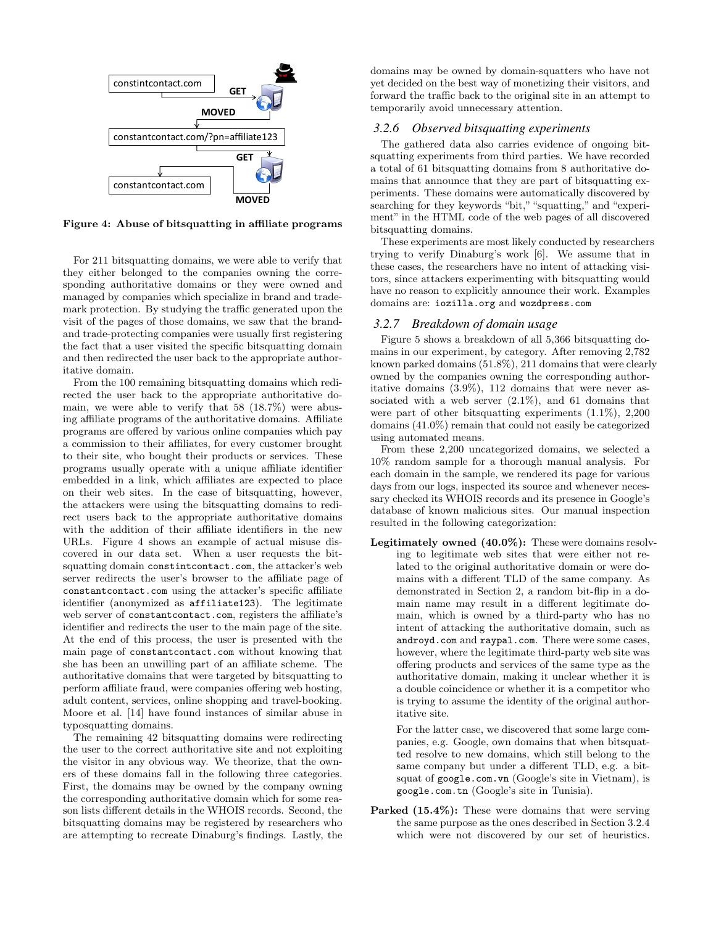

Figure 4: Abuse of bitsquatting in affiliate programs

For 211 bitsquatting domains, we were able to verify that they either belonged to the companies owning the corresponding authoritative domains or they were owned and managed by companies which specialize in brand and trademark protection. By studying the traffic generated upon the visit of the pages of those domains, we saw that the brandand trade-protecting companies were usually first registering the fact that a user visited the specific bitsquatting domain and then redirected the user back to the appropriate authoritative domain.

From the 100 remaining bitsquatting domains which redirected the user back to the appropriate authoritative domain, we were able to verify that 58 (18.7%) were abusing affiliate programs of the authoritative domains. Affiliate programs are offered by various online companies which pay a commission to their affiliates, for every customer brought to their site, who bought their products or services. These programs usually operate with a unique affiliate identifier embedded in a link, which affiliates are expected to place on their web sites. In the case of bitsquatting, however, the attackers were using the bitsquatting domains to redirect users back to the appropriate authoritative domains with the addition of their affiliate identifiers in the new URLs. Figure 4 shows an example of actual misuse discovered in our data set. When a user requests the bitsquatting domain constintcontact.com, the attacker's web server redirects the user's browser to the affiliate page of constantcontact.com using the attacker's specific affiliate identifier (anonymized as affiliate123). The legitimate web server of constantcontact.com, registers the affiliate's identifier and redirects the user to the main page of the site. At the end of this process, the user is presented with the main page of constantcontact.com without knowing that she has been an unwilling part of an affiliate scheme. The authoritative domains that were targeted by bitsquatting to perform affiliate fraud, were companies offering web hosting, adult content, services, online shopping and travel-booking. Moore et al. [14] have found instances of similar abuse in typosquatting domains.

The remaining 42 bitsquatting domains were redirecting the user to the correct authoritative site and not exploiting the visitor in any obvious way. We theorize, that the owners of these domains fall in the following three categories. First, the domains may be owned by the company owning the corresponding authoritative domain which for some reason lists different details in the WHOIS records. Second, the bitsquatting domains may be registered by researchers who are attempting to recreate Dinaburg's findings. Lastly, the

domains may be owned by domain-squatters who have not yet decided on the best way of monetizing their visitors, and forward the traffic back to the original site in an attempt to temporarily avoid unnecessary attention.

## *3.2.6 Observed bitsquatting experiments*

The gathered data also carries evidence of ongoing bitsquatting experiments from third parties. We have recorded a total of 61 bitsquatting domains from 8 authoritative domains that announce that they are part of bitsquatting experiments. These domains were automatically discovered by searching for they keywords "bit," "squatting," and "experiment" in the HTML code of the web pages of all discovered bitsquatting domains.

These experiments are most likely conducted by researchers trying to verify Dinaburg's work [6]. We assume that in these cases, the researchers have no intent of attacking visitors, since attackers experimenting with bitsquatting would have no reason to explicitly announce their work. Examples domains are: iozilla.org and wozdpress.com

#### *3.2.7 Breakdown of domain usage*

Figure 5 shows a breakdown of all 5,366 bitsquatting domains in our experiment, by category. After removing 2,782 known parked domains (51.8%), 211 domains that were clearly owned by the companies owning the corresponding authoritative domains (3.9%), 112 domains that were never associated with a web server  $(2.1\%)$ , and 61 domains that were part of other bitsquatting experiments  $(1.1\%)$ , 2,200 domains (41.0%) remain that could not easily be categorized using automated means.

From these 2,200 uncategorized domains, we selected a 10% random sample for a thorough manual analysis. For each domain in the sample, we rendered its page for various days from our logs, inspected its source and whenever necessary checked its WHOIS records and its presence in Google's database of known malicious sites. Our manual inspection resulted in the following categorization:

Legitimately owned (40.0%): These were domains resolving to legitimate web sites that were either not related to the original authoritative domain or were domains with a different TLD of the same company. As demonstrated in Section 2, a random bit-flip in a domain name may result in a different legitimate domain, which is owned by a third-party who has no intent of attacking the authoritative domain, such as androyd.com and raypal.com. There were some cases, however, where the legitimate third-party web site was offering products and services of the same type as the authoritative domain, making it unclear whether it is a double coincidence or whether it is a competitor who is trying to assume the identity of the original authoritative site.

For the latter case, we discovered that some large companies, e.g. Google, own domains that when bitsquatted resolve to new domains, which still belong to the same company but under a different TLD, e.g. a bitsquat of google.com.vn (Google's site in Vietnam), is google.com.tn (Google's site in Tunisia).

Parked (15.4%): These were domains that were serving the same purpose as the ones described in Section 3.2.4 which were not discovered by our set of heuristics.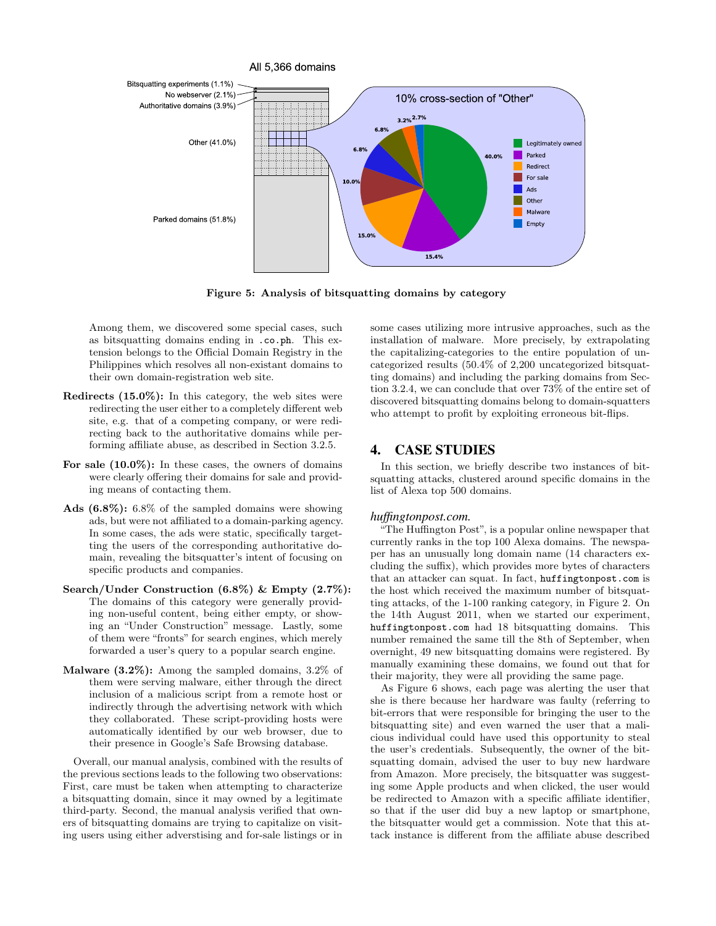

Figure 5: Analysis of bitsquatting domains by category

Among them, we discovered some special cases, such as bitsquatting domains ending in .co.ph. This extension belongs to the Official Domain Registry in the Philippines which resolves all non-existant domains to their own domain-registration web site.

- Redirects (15.0%): In this category, the web sites were redirecting the user either to a completely different web site, e.g. that of a competing company, or were redirecting back to the authoritative domains while performing affiliate abuse, as described in Section 3.2.5.
- For sale (10.0%): In these cases, the owners of domains were clearly offering their domains for sale and providing means of contacting them.
- Ads (6.8%): 6.8% of the sampled domains were showing ads, but were not affiliated to a domain-parking agency. In some cases, the ads were static, specifically targetting the users of the corresponding authoritative domain, revealing the bitsquatter's intent of focusing on specific products and companies.
- Search/Under Construction (6.8%) & Empty (2.7%): The domains of this category were generally providing non-useful content, being either empty, or showing an "Under Construction" message. Lastly, some of them were "fronts" for search engines, which merely forwarded a user's query to a popular search engine.
- Malware (3.2%): Among the sampled domains, 3.2% of them were serving malware, either through the direct inclusion of a malicious script from a remote host or indirectly through the advertising network with which they collaborated. These script-providing hosts were automatically identified by our web browser, due to their presence in Google's Safe Browsing database.

Overall, our manual analysis, combined with the results of the previous sections leads to the following two observations: First, care must be taken when attempting to characterize a bitsquatting domain, since it may owned by a legitimate third-party. Second, the manual analysis verified that owners of bitsquatting domains are trying to capitalize on visiting users using either adverstising and for-sale listings or in

some cases utilizing more intrusive approaches, such as the installation of malware. More precisely, by extrapolating the capitalizing-categories to the entire population of uncategorized results (50.4% of 2,200 uncategorized bitsquatting domains) and including the parking domains from Section 3.2.4, we can conclude that over 73% of the entire set of discovered bitsquatting domains belong to domain-squatters who attempt to profit by exploiting erroneous bit-flips.

# 4. CASE STUDIES

In this section, we briefly describe two instances of bitsquatting attacks, clustered around specific domains in the list of Alexa top 500 domains.

#### *huffingtonpost.com.*

"The Huffington Post", is a popular online newspaper that currently ranks in the top 100 Alexa domains. The newspaper has an unusually long domain name (14 characters excluding the suffix), which provides more bytes of characters that an attacker can squat. In fact, huffingtonpost.com is the host which received the maximum number of bitsquatting attacks, of the 1-100 ranking category, in Figure 2. On the 14th August 2011, when we started our experiment, huffingtonpost.com had 18 bitsquatting domains. This number remained the same till the 8th of September, when overnight, 49 new bitsquatting domains were registered. By manually examining these domains, we found out that for their majority, they were all providing the same page.

As Figure 6 shows, each page was alerting the user that she is there because her hardware was faulty (referring to bit-errors that were responsible for bringing the user to the bitsquatting site) and even warned the user that a malicious individual could have used this opportunity to steal the user's credentials. Subsequently, the owner of the bitsquatting domain, advised the user to buy new hardware from Amazon. More precisely, the bitsquatter was suggesting some Apple products and when clicked, the user would be redirected to Amazon with a specific affiliate identifier, so that if the user did buy a new laptop or smartphone, the bitsquatter would get a commission. Note that this attack instance is different from the affiliate abuse described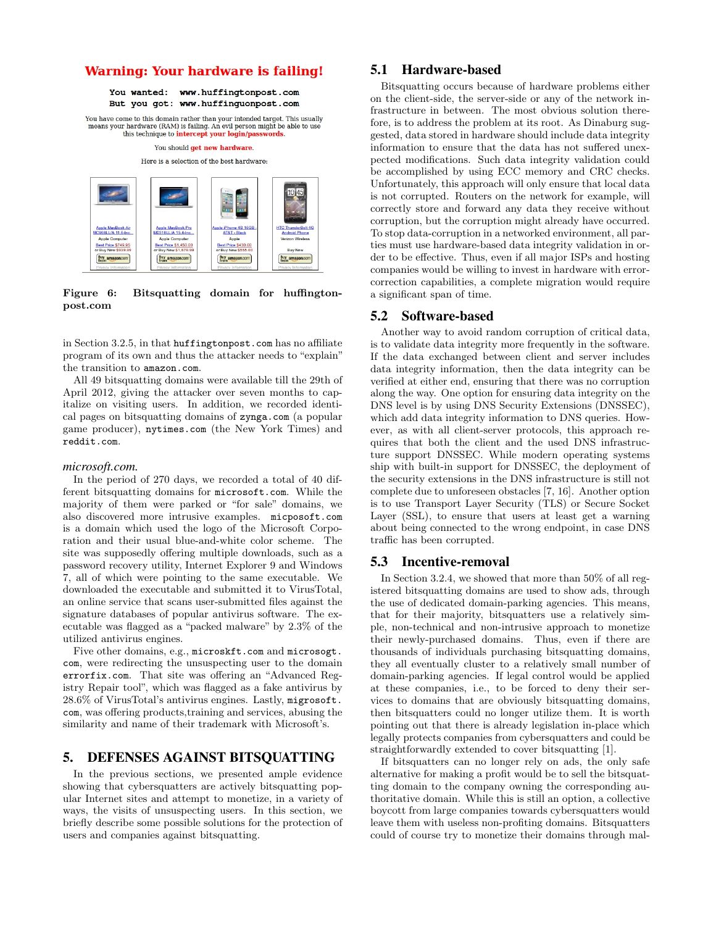# **Warning: Your hardware is failing!**

You wanted: www.huffingtonpost.com But you got: www.huffinguonpost.com

You have come to this domain rather than your intended target. This usually means your hardware (RAM) is failing. An evil person might be able to use this technique to **intercept your login/passwords**.

You should get new hardware.

Here is a selection of the best hardware:



Figure 6: Bitsquatting domain for huffingtonpost.com

in Section 3.2.5, in that huffingtonpost.com has no affiliate program of its own and thus the attacker needs to "explain" the transition to amazon.com.

All 49 bitsquatting domains were available till the 29th of April 2012, giving the attacker over seven months to capitalize on visiting users. In addition, we recorded identical pages on bitsquatting domains of zynga.com (a popular game producer), nytimes.com (the New York Times) and reddit.com.

#### *microsoft.com.*

In the period of 270 days, we recorded a total of 40 different bitsquatting domains for microsoft.com. While the majority of them were parked or "for sale" domains, we also discovered more intrusive examples. micposoft.com is a domain which used the logo of the Microsoft Corporation and their usual blue-and-white color scheme. The site was supposedly offering multiple downloads, such as a password recovery utility, Internet Explorer 9 and Windows 7, all of which were pointing to the same executable. We downloaded the executable and submitted it to VirusTotal, an online service that scans user-submitted files against the signature databases of popular antivirus software. The executable was flagged as a "packed malware" by 2.3% of the utilized antivirus engines.

Five other domains, e.g., microskft.com and microsogt. com, were redirecting the unsuspecting user to the domain errorfix.com. That site was offering an "Advanced Registry Repair tool", which was flagged as a fake antivirus by 28.6% of VirusTotal's antivirus engines. Lastly, migrosoft. com, was offering products,training and services, abusing the similarity and name of their trademark with Microsoft's.

# 5. DEFENSES AGAINST BITSQUATTING

In the previous sections, we presented ample evidence showing that cybersquatters are actively bitsquatting popular Internet sites and attempt to monetize, in a variety of ways, the visits of unsuspecting users. In this section, we briefly describe some possible solutions for the protection of users and companies against bitsquatting.

# 5.1 Hardware-based

Bitsquatting occurs because of hardware problems either on the client-side, the server-side or any of the network infrastructure in between. The most obvious solution therefore, is to address the problem at its root. As Dinaburg suggested, data stored in hardware should include data integrity information to ensure that the data has not suffered unexpected modifications. Such data integrity validation could be accomplished by using ECC memory and CRC checks. Unfortunately, this approach will only ensure that local data is not corrupted. Routers on the network for example, will correctly store and forward any data they receive without corruption, but the corruption might already have occurred. To stop data-corruption in a networked environment, all parties must use hardware-based data integrity validation in order to be effective. Thus, even if all major ISPs and hosting companies would be willing to invest in hardware with errorcorrection capabilities, a complete migration would require a significant span of time.

# 5.2 Software-based

Another way to avoid random corruption of critical data, is to validate data integrity more frequently in the software. If the data exchanged between client and server includes data integrity information, then the data integrity can be verified at either end, ensuring that there was no corruption along the way. One option for ensuring data integrity on the DNS level is by using DNS Security Extensions (DNSSEC), which add data integrity information to DNS queries. However, as with all client-server protocols, this approach requires that both the client and the used DNS infrastructure support DNSSEC. While modern operating systems ship with built-in support for DNSSEC, the deployment of the security extensions in the DNS infrastructure is still not complete due to unforeseen obstacles [7, 16]. Another option is to use Transport Layer Security (TLS) or Secure Socket Layer (SSL), to ensure that users at least get a warning about being connected to the wrong endpoint, in case DNS traffic has been corrupted.

## 5.3 Incentive-removal

In Section 3.2.4, we showed that more than 50% of all registered bitsquatting domains are used to show ads, through the use of dedicated domain-parking agencies. This means, that for their majority, bitsquatters use a relatively simple, non-technical and non-intrusive approach to monetize their newly-purchased domains. Thus, even if there are thousands of individuals purchasing bitsquatting domains, they all eventually cluster to a relatively small number of domain-parking agencies. If legal control would be applied at these companies, i.e., to be forced to deny their services to domains that are obviously bitsquatting domains, then bitsquatters could no longer utilize them. It is worth pointing out that there is already legislation in-place which legally protects companies from cybersquatters and could be straightforwardly extended to cover bitsquatting [1].

If bitsquatters can no longer rely on ads, the only safe alternative for making a profit would be to sell the bitsquatting domain to the company owning the corresponding authoritative domain. While this is still an option, a collective boycott from large companies towards cybersquatters would leave them with useless non-profiting domains. Bitsquatters could of course try to monetize their domains through mal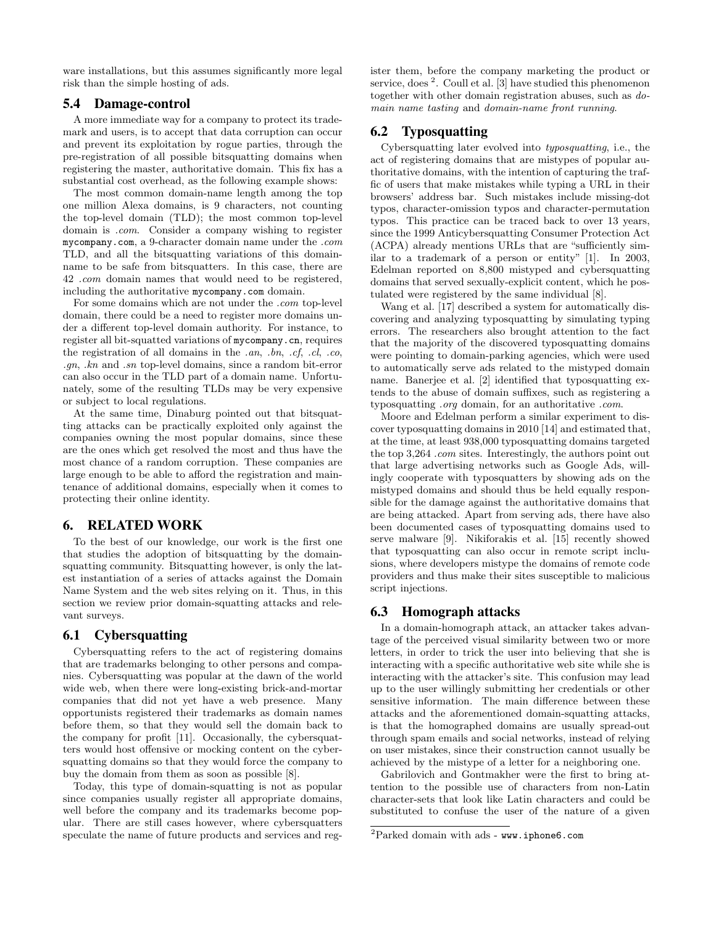ware installations, but this assumes significantly more legal risk than the simple hosting of ads.

# 5.4 Damage-control

A more immediate way for a company to protect its trademark and users, is to accept that data corruption can occur and prevent its exploitation by rogue parties, through the pre-registration of all possible bitsquatting domains when registering the master, authoritative domain. This fix has a substantial cost overhead, as the following example shows:

The most common domain-name length among the top one million Alexa domains, is 9 characters, not counting the top-level domain (TLD); the most common top-level domain is .com. Consider a company wishing to register mycompany.com, a 9-character domain name under the .com TLD, and all the bitsquatting variations of this domainname to be safe from bitsquatters. In this case, there are 42 .com domain names that would need to be registered, including the authoritative mycompany.com domain.

For some domains which are not under the .com top-level domain, there could be a need to register more domains under a different top-level domain authority. For instance, to register all bit-squatted variations of mycompany.cn, requires the registration of all domains in the .an, .bn, .cf, .cl, .co, .gn, .kn and .sn top-level domains, since a random bit-error can also occur in the TLD part of a domain name. Unfortunately, some of the resulting TLDs may be very expensive or subject to local regulations.

At the same time, Dinaburg pointed out that bitsquatting attacks can be practically exploited only against the companies owning the most popular domains, since these are the ones which get resolved the most and thus have the most chance of a random corruption. These companies are large enough to be able to afford the registration and maintenance of additional domains, especially when it comes to protecting their online identity.

# 6. RELATED WORK

To the best of our knowledge, our work is the first one that studies the adoption of bitsquatting by the domainsquatting community. Bitsquatting however, is only the latest instantiation of a series of attacks against the Domain Name System and the web sites relying on it. Thus, in this section we review prior domain-squatting attacks and relevant surveys.

# 6.1 Cybersquatting

Cybersquatting refers to the act of registering domains that are trademarks belonging to other persons and companies. Cybersquatting was popular at the dawn of the world wide web, when there were long-existing brick-and-mortar companies that did not yet have a web presence. Many opportunists registered their trademarks as domain names before them, so that they would sell the domain back to the company for profit [11]. Occasionally, the cybersquatters would host offensive or mocking content on the cybersquatting domains so that they would force the company to buy the domain from them as soon as possible [8].

Today, this type of domain-squatting is not as popular since companies usually register all appropriate domains, well before the company and its trademarks become popular. There are still cases however, where cybersquatters speculate the name of future products and services and register them, before the company marketing the product or service, does<sup>2</sup>. Coull et al. [3] have studied this phenomenon together with other domain registration abuses, such as domain name tasting and domain-name front running.

# 6.2 Typosquatting

Cybersquatting later evolved into typosquatting, i.e., the act of registering domains that are mistypes of popular authoritative domains, with the intention of capturing the traffic of users that make mistakes while typing a URL in their browsers' address bar. Such mistakes include missing-dot typos, character-omission typos and character-permutation typos. This practice can be traced back to over 13 years, since the 1999 Anticybersquatting Consumer Protection Act (ACPA) already mentions URLs that are "sufficiently similar to a trademark of a person or entity" [1]. In 2003, Edelman reported on 8,800 mistyped and cybersquatting domains that served sexually-explicit content, which he postulated were registered by the same individual [8].

Wang et al. [17] described a system for automatically discovering and analyzing typosquatting by simulating typing errors. The researchers also brought attention to the fact that the majority of the discovered typosquatting domains were pointing to domain-parking agencies, which were used to automatically serve ads related to the mistyped domain name. Banerjee et al. [2] identified that typosquatting extends to the abuse of domain suffixes, such as registering a typosquatting .org domain, for an authoritative .com.

Moore and Edelman perform a similar experiment to discover typosquatting domains in 2010 [14] and estimated that, at the time, at least 938,000 typosquatting domains targeted the top 3,264 *com* sites. Interestingly, the authors point out that large advertising networks such as Google Ads, willingly cooperate with typosquatters by showing ads on the mistyped domains and should thus be held equally responsible for the damage against the authoritative domains that are being attacked. Apart from serving ads, there have also been documented cases of typosquatting domains used to serve malware [9]. Nikiforakis et al. [15] recently showed that typosquatting can also occur in remote script inclusions, where developers mistype the domains of remote code providers and thus make their sites susceptible to malicious script injections.

# 6.3 Homograph attacks

In a domain-homograph attack, an attacker takes advantage of the perceived visual similarity between two or more letters, in order to trick the user into believing that she is interacting with a specific authoritative web site while she is interacting with the attacker's site. This confusion may lead up to the user willingly submitting her credentials or other sensitive information. The main difference between these attacks and the aforementioned domain-squatting attacks, is that the homographed domains are usually spread-out through spam emails and social networks, instead of relying on user mistakes, since their construction cannot usually be achieved by the mistype of a letter for a neighboring one.

Gabrilovich and Gontmakher were the first to bring attention to the possible use of characters from non-Latin character-sets that look like Latin characters and could be substituted to confuse the user of the nature of a given

<sup>2</sup>Parked domain with ads - www.iphone6.com